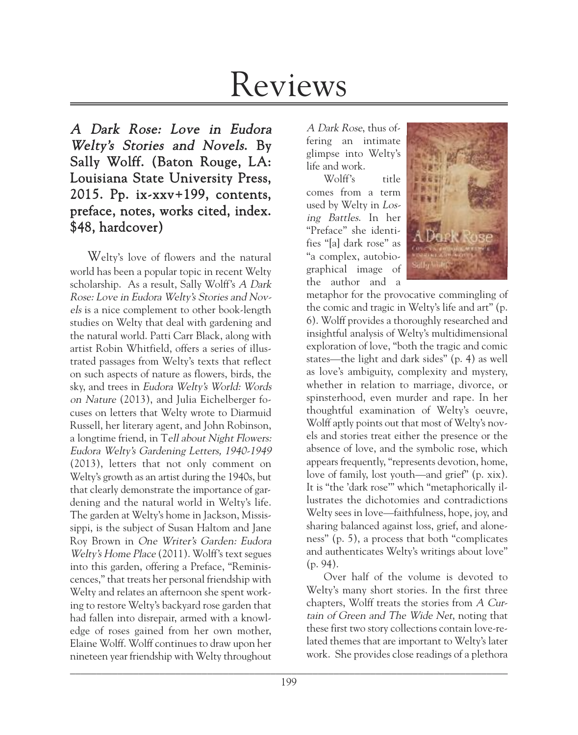# Reviews

# A Dark Rose: Love in Eudora Welty's Stories and Novels. By Sally Wolff. (Baton Rouge, LA: Louisiana State University Press, 2015. Pp. ix-xxv+199, contents, preface, notes, works cited, index. \$48, hardcover)

Welty's love of flowers and the natural world has been a popular topic in recent Welty scholarship. As a result, Sally Wolff's A Dark Rose: Love in Eudora Welty's Stories and Novels is a nice complement to other book-length studies on Welty that deal with gardening and the natural world. Patti Carr Black, along with artist Robin Whitfield, offers a series of illustrated passages from Welty's texts that reflect on such aspects of nature as flowers, birds, the sky, and trees in Eudora Welty's World: Words on Nature (2013), and Julia Eichelberger focuses on letters that Welty wrote to Diarmuid Russell, her literary agent, and John Robinson, a longtime friend, in Tell about Night Flowers: Eudora Welty's Gardening Letters, 1940-1949 (2013), letters that not only comment on Welty's growth as an artist during the 1940s, but that clearly demonstrate the importance of gardening and the natural world in Welty's life. The garden at Welty's home in Jackson, Mississippi, is the subject of Susan Haltom and Jane Roy Brown in One Writer's Garden: Eudora Welty's Home Place (2011). Wolff's text segues into this garden, offering a Preface, "Reminiscences," that treats her personal friendship with Welty and relates an afternoon she spent working to restore Welty's backyard rose garden that had fallen into disrepair, armed with a knowledge of roses gained from her own mother, Elaine Wolff. Wolff continues to draw upon her nineteen year friendship with Welty throughout

A Dark Rose, thus offering an intimate glimpse into Welty's life and work.

Wolff's title comes from a term used by Welty in Losing Battles. In her "Preface" she identifies "[a] dark rose" as "a complex, autobiographical image of the author and a



metaphor for the provocative commingling of the comic and tragic in Welty's life and art" (p. 6). Wolff provides a thoroughly researched and insightful analysis of Welty's multidimensional exploration of love, "both the tragic and comic states—the light and dark sides" (p. 4) as well as love's ambiguity, complexity and mystery, whether in relation to marriage, divorce, or spinsterhood, even murder and rape. In her thoughtful examination of Welty's oeuvre, Wolff aptly points out that most of Welty's novels and stories treat either the presence or the absence of love, and the symbolic rose, which appears frequently, "represents devotion, home, love of family, lost youth—and grief" (p. xix). It is "the 'dark rose'" which "metaphorically illustrates the dichotomies and contradictions Welty sees in love—faithfulness, hope, joy, and sharing balanced against loss, grief, and aloneness" (p. 5), a process that both "complicates and authenticates Welty's writings about love" (p. 94).

Over half of the volume is devoted to Welty's many short stories. In the first three chapters, Wolff treats the stories from A Curtain of Green and The Wide Net, noting that these first two story collections contain love-related themes that are important to Welty's later work. She provides close readings of a plethora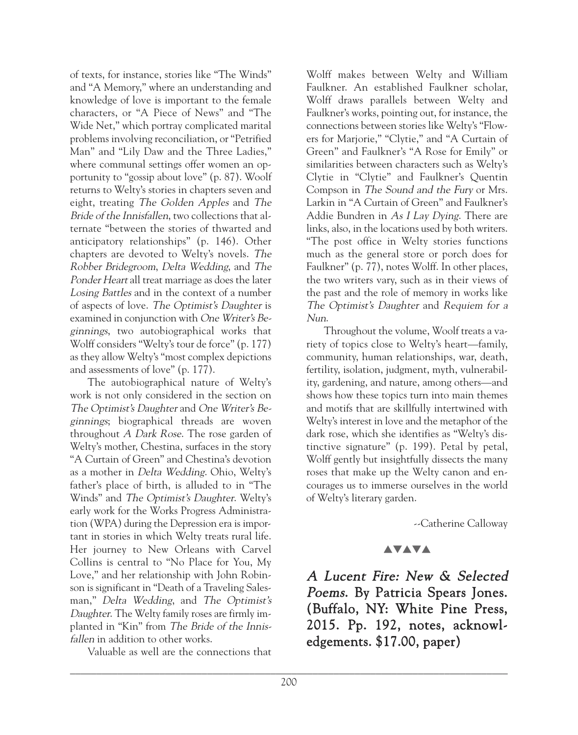of texts, for instance, stories like "The Winds" and "A Memory," where an understanding and knowledge of love is important to the female characters, or "A Piece of News" and "The Wide Net," which portray complicated marital problems involving reconciliation, or "Petrified Man" and "Lily Daw and the Three Ladies," where communal settings offer women an opportunity to "gossip about love" (p. 87). Woolf returns to Welty's stories in chapters seven and eight, treating The Golden Apples and The Bride of the Innisfallen, two collections that alternate "between the stories of thwarted and anticipatory relationships" (p. 146). Other chapters are devoted to Welty's novels. The Robber Bridegroom, Delta Wedding, and The Ponder Heart all treat marriage as does the later Losing Battles and in the context of a number of aspects of love. The Optimist's Daughter is examined in conjunction with One Writer's Beginnings, two autobiographical works that Wolff considers "Welty's tour de force" (p. 177) as they allow Welty's "most complex depictions and assessments of love" (p. 177).

The autobiographical nature of Welty's work is not only considered in the section on The Optimist's Daughter and One Writer's Beginnings; biographical threads are woven throughout A Dark Rose. The rose garden of Welty's mother, Chestina, surfaces in the story "A Curtain of Green" and Chestina's devotion as a mother in Delta Wedding. Ohio, Welty's father's place of birth, is alluded to in "The Winds" and The Optimist's Daughter. Welty's early work for the Works Progress Administration (WPA) during the Depression era is important in stories in which Welty treats rural life. Her journey to New Orleans with Carvel Collins is central to "No Place for You, My Love," and her relationship with John Robinson is significant in "Death of a Traveling Salesman," Delta Wedding, and The Optimist's Daughter. The Welty family roses are firmly implanted in "Kin" from The Bride of the Innisfallen in addition to other works.

Valuable as well are the connections that

Wolff makes between Welty and William Faulkner. An established Faulkner scholar, Wolff draws parallels between Welty and Faulkner's works, pointing out, for instance, the connections between stories like Welty's "Flowers for Marjorie," "Clytie," and "A Curtain of Green" and Faulkner's "A Rose for Emily" or similarities between characters such as Welty's Clytie in "Clytie" and Faulkner's Quentin Compson in The Sound and the Fury or Mrs. Larkin in "A Curtain of Green" and Faulkner's Addie Bundren in As <sup>I</sup> Lay Dying. There are links, also, in the locations used by both writers. "The post office in Welty stories functions much as the general store or porch does for Faulkner" (p. 77), notes Wolff. In other places, the two writers vary, such as in their views of the past and the role of memory in works like The Optimist's Daughter and Requiem for <sup>a</sup> Nun.

Throughout the volume, Woolf treats a variety of topics close to Welty's heart—family, community, human relationships, war, death, fertility, isolation, judgment, myth, vulnerability, gardening, and nature, among others—and shows how these topics turn into main themes and motifs that are skillfully intertwined with Welty's interest in love and the metaphor of the dark rose, which she identifies as "Welty's distinctive signature" (p. 199). Petal by petal, Wolff gently but insightfully dissects the many roses that make up the Welty canon and encourages us to immerse ourselves in the world of Welty's literary garden.

--Catherine Calloway

## **AVAVA**

A Lucent Fire: New & Selected Poems. By Patricia Spears Jones. (Buffalo, NY: White Pine Press, 2015. Pp. 192, notes, acknowledgements. \$17.00, paper)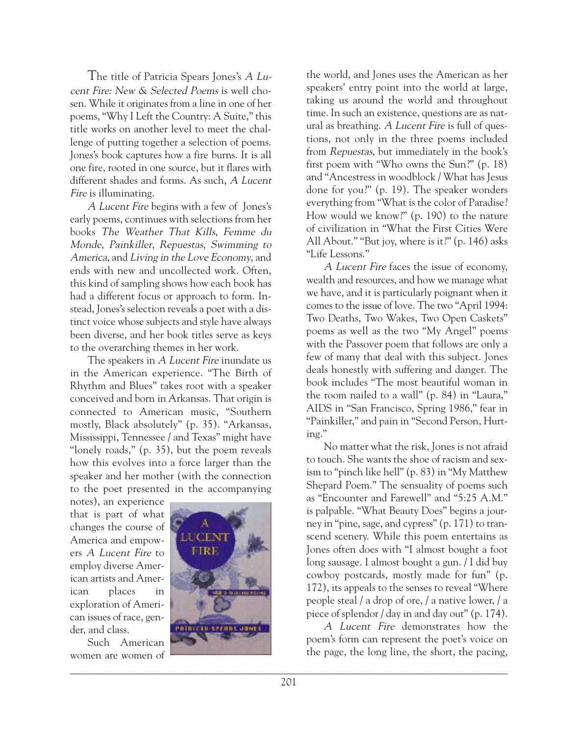The title of Patricia Spears Jones's <sup>A</sup> Lucent Fire: New & Selected Poems is well chosen. While it originates from a line in one of her poems, "Why I Left the Country: A Suite," this title works on another level to meet the challenge of putting together a selection of poems. Jones's book captures how a fire burns. It is all one fire, rooted in one source, but it flares with different shades and forms. As such, A Lucent Fire is illuminating.

A Lucent Fire begins with a few of Jones's early poems, continues with selections from her books The Weather That Kills, Femme du Monde, Painkiller, Repuestas, Swimming to America, and Living in the Love Economy, and ends with new and uncollected work. Often, this kind of sampling shows how each book has had a different focus or approach to form. Instead, Jones's selection reveals a poet with a distinct voice whose subjects and style have always been diverse, and her book titles serve as keys to the overarching themes in her work.

The speakers in A Lucent Fire inundate us in the American experience. "The Birth of Rhythm and Blues" takes root with a speaker conceived and born in Arkansas. That origin is connected to American music, "Southern mostly, Black absolutely" (p. 35). "Arkansas, Mississippi, Tennessee / and Texas" might have "lonely roads," (p. 35), but the poem reveals how this evolves into a force larger than the speaker and her mother (with the connection to the poet presented in the accompanying

notes), an experience that is part of what changes the course of America and empowers A Lucent Fire to employ diverse American artists and American places in exploration of American issues of race, gender, and class.

Such American women are women of



the world, and Jones uses the American as her speakers' entry point into the world at large, taking us around the world and throughout time. In such an existence, questions are as natural as breathing. A Lucent Fire is full of questions, not only in the three poems included from Repuestas, but immediately in the book's first poem with "Who owns the Sun?" (p. 18) and "Ancestress in woodblock / What has Jesus done for you?" (p. 19). The speaker wonders everything from "What is the color of Paradise? How would we know?" (p. 190) to the nature of civilization in "What the First Cities Were All About." "But joy, where is it?" (p. 146) asks "Life Lessons."

A Lucent Fire faces the issue of economy, wealth and resources, and how we manage what we have, and it is particularly poignant when it comes to the issue of love. The two "April 1994: Two Deaths, Two Wakes, Two Open Caskets" poems as well as the two "My Angel" poems with the Passover poem that follows are only a few of many that deal with this subject. Jones deals honestly with suffering and danger. The book includes "The most beautiful woman in the room nailed to a wall" (p. 84) in "Laura," AIDS in "San Francisco, Spring 1986," fear in "Painkiller," and pain in "Second Person, Hurting."

No matter what the risk, Jones is not afraid to touch. She wants the shoe of racism and sexism to "pinch like hell" (p. 83) in "My Matthew Shepard Poem." The sensuality of poems such as "Encounter and Farewell" and "5:25 A.M." is palpable. "What Beauty Does" begins a journey in "pine, sage, and cypress" (p. 171) to transcend scenery. While this poem entertains as Jones often does with "I almost bought a foot long sausage. I almost bought a gun. / I did buy cowboy postcards, mostly made for fun" (p. 172), its appeals to the senses to reveal "Where people steal / a drop of ore, / a native lower, / a piece of splendor / day in and day out" (p. 174).

A Lucent Fire demonstrates how the poem's form can represent the poet's voice on the page, the long line, the short, the pacing,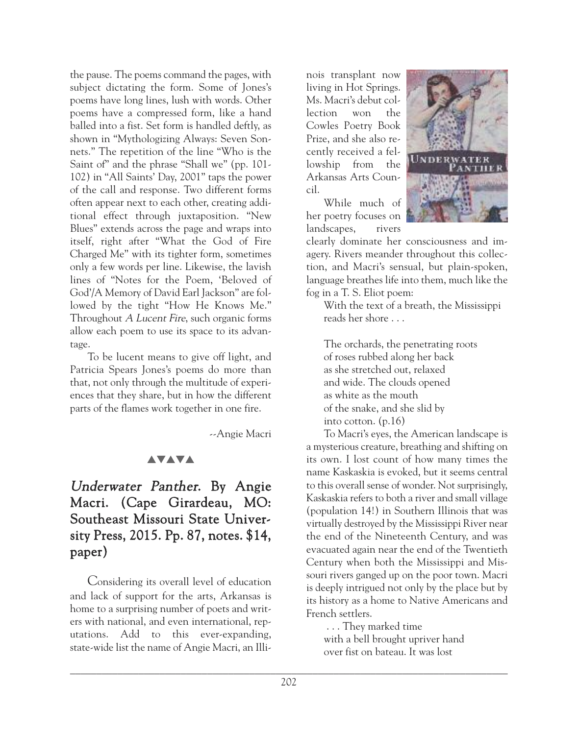the pause. The poems command the pages, with subject dictating the form. Some of Jones's poems have long lines, lush with words. Other poems have a compressed form, like a hand balled into a fist. Set form is handled deftly, as shown in "Mythologizing Always: Seven Sonnets." The repetition of the line "Who is the Saint of" and the phrase "Shall we" (pp. 101- 102) in "All Saints' Day, 2001" taps the power of the call and response. Two different forms often appear next to each other, creating additional effect through juxtaposition. "New Blues" extends across the page and wraps into itself, right after "What the God of Fire Charged Me" with its tighter form, sometimes only a few words per line. Likewise, the lavish lines of "Notes for the Poem, 'Beloved of God'/A Memory of David Earl Jackson" are followed by the tight "How He Knows Me." Throughout A Lucent Fire, such organic forms allow each poem to use its space to its advantage.

To be lucent means to give off light, and Patricia Spears Jones's poems do more than that, not only through the multitude of experiences that they share, but in how the different parts of the flames work together in one fire.

--Angie Macri

## **AVAVA**

# Underwater Panther. By Angie Macri. (Cape Girardeau, MO: Southeast Missouri State University Press, 2015. Pp. 87, notes. \$14, paper)

Considering its overall level of education and lack of support for the arts, Arkansas is home to a surprising number of poets and writers with national, and even international, reputations. Add to this ever-expanding, state-wide list the name of Angie Macri, an Illi-

nois transplant now living in Hot Springs. Ms. Macri's debut collection won the Cowles Poetry Book Prize, and she also recently received a fellowship from the Arkansas Arts Council.

While much of her poetry focuses on landscapes, rivers



clearly dominate her consciousness and imagery. Rivers meander throughout this collection, and Macri's sensual, but plain-spoken, language breathes life into them, much like the fog in a T. S. Eliot poem:

With the text of a breath, the Mississippi reads her shore . . .

The orchards, the penetrating roots of roses rubbed along her back as she stretched out, relaxed and wide. The clouds opened as white as the mouth of the snake, and she slid by into cotton. (p.16)

To Macri's eyes, the American landscape is a mysterious creature, breathing and shifting on its own. I lost count of how many times the name Kaskaskia is evoked, but it seems central to this overall sense of wonder. Not surprisingly, Kaskaskia refers to both a river and small village (population 14!) in Southern Illinois that was virtually destroyed by the Mississippi River near the end of the Nineteenth Century, and was evacuated again near the end of the Twentieth Century when both the Mississippi and Missouri rivers ganged up on the poor town. Macri is deeply intrigued not only by the place but by its history as a home to Native Americans and French settlers.

. . . They marked time with a bell brought upriver hand over fist on bateau. It was lost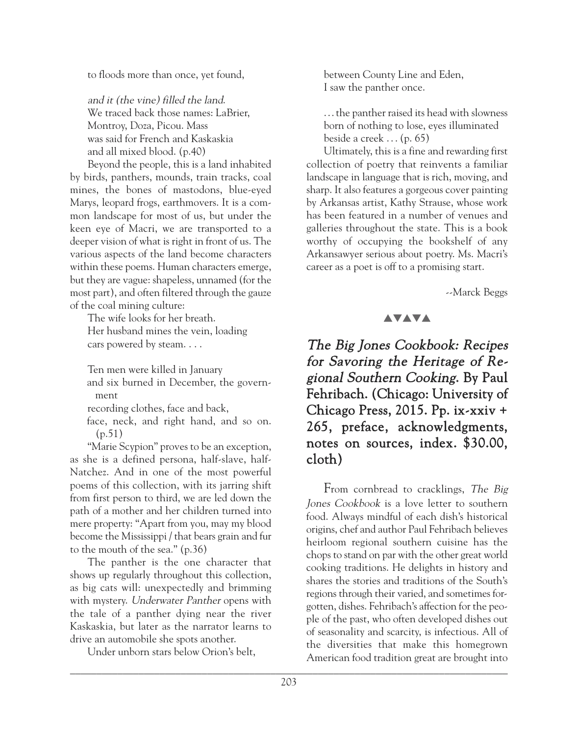to floods more than once, yet found,

and it (the vine) filled the land. We traced back those names: LaBrier, Montroy, Doza, Picou. Mass was said for French and Kaskaskia and all mixed blood. (p.40)

Beyond the people, this is a land inhabited by birds, panthers, mounds, train tracks, coal mines, the bones of mastodons, blue-eyed Marys, leopard frogs, earthmovers. It is a common landscape for most of us, but under the keen eye of Macri, we are transported to a deeper vision of what is right in front of us. The various aspects of the land become characters within these poems. Human characters emerge, but they are vague: shapeless, unnamed (for the most part), and often filtered through the gauze of the coal mining culture:

The wife looks for her breath. Her husband mines the vein, loading cars powered by steam. . . .

Ten men were killed in January and six burned in December, the government

recording clothes, face and back,

face, neck, and right hand, and so on. (p.51)

"Marie Scypion" proves to be an exception, as she is a defined persona, half-slave, half-Natchez. And in one of the most powerful poems of this collection, with its jarring shift from first person to third, we are led down the path of a mother and her children turned into mere property: "Apart from you, may my blood become the Mississippi / that bears grain and fur to the mouth of the sea." (p.36)

The panther is the one character that shows up regularly throughout this collection, as big cats will: unexpectedly and brimming with mystery. Underwater Panther opens with the tale of a panther dying near the river Kaskaskia, but later as the narrator learns to drive an automobile she spots another.

Under unborn stars below Orion's belt,

between County Line and Eden, I saw the panther once.

...the panther raised its head with slowness born of nothing to lose, eyes illuminated beside a creek  $\ldots$  (p. 65)

Ultimately, this is a fine and rewarding first collection of poetry that reinvents a familiar landscape in language that is rich, moving, and sharp. It also features a gorgeous cover painting by Arkansas artist, Kathy Strause, whose work has been featured in a number of venues and galleries throughout the state. This is a book worthy of occupying the bookshelf of any Arkansawyer serious about poetry. Ms. Macri's career as a poet is off to a promising start.

--Marck Beggs

## **AVAVA**

The Big Jones Cookbook: Recipes for Savoring the Heritage of Regional Southern Cooking. By Paul Fehribach. (Chicago: University of Chicago Press, 2015. Pp. ix-xxiv + 265, preface, acknowledgments, notes on sources, index. \$30.00, cloth)

 $\Box$ From cornbread to cracklings, The Big Jones Cookbook is a love letter to southern food. Always mindful of each dish's historical origins, chef and author Paul Fehribach believes heirloom regional southern cuisine has the chops to stand on par with the other great world cooking traditions. He delights in history and shares the stories and traditions of the South's regions through their varied, and sometimes forgotten, dishes. Fehribach's affection for the people of the past, who often developed dishes out of seasonality and scarcity, is infectious. All of the diversities that make this homegrown American food tradition great are brought into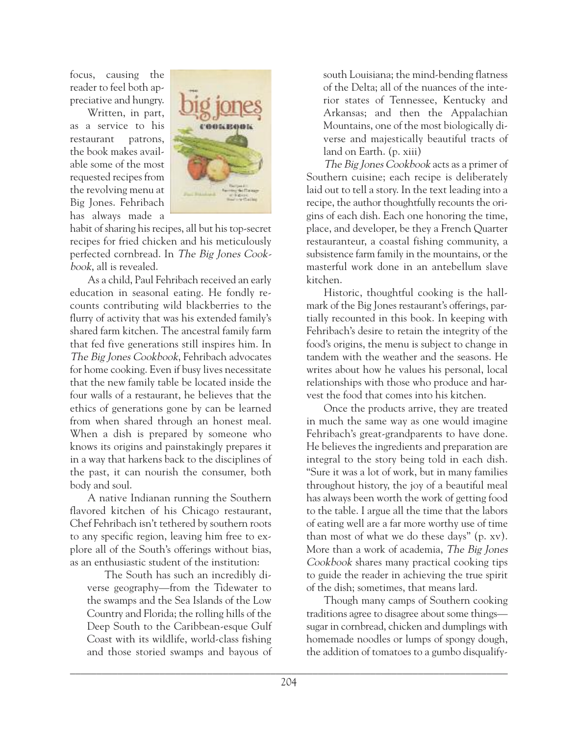focus, causing the reader to feel both appreciative and hungry.

Written, in part, as a service to his restaurant patrons, the book makes available some of the most requested recipes from the revolving menu at Big Jones. Fehribach has always made a



habit of sharing his recipes, all but his top-secret recipes for fried chicken and his meticulously perfected cornbread. In The Big Jones Cookbook, all is revealed.

As a child, Paul Fehribach received an early education in seasonal eating. He fondly recounts contributing wild blackberries to the flurry of activity that was his extended family's shared farm kitchen. The ancestral family farm that fed five generations still inspires him. In The Big Jones Cookbook, Fehribach advocates for home cooking. Even if busy lives necessitate that the new family table be located inside the four walls of a restaurant, he believes that the ethics of generations gone by can be learned from when shared through an honest meal. When a dish is prepared by someone who knows its origins and painstakingly prepares it in a way that harkens back to the disciplines of the past, it can nourish the consumer, both body and soul.

A native Indianan running the Southern flavored kitchen of his Chicago restaurant, Chef Fehribach isn't tethered by southern roots to any specific region, leaving him free to explore all of the South's offerings without bias, as an enthusiastic student of the institution:

The South has such an incredibly diverse geography—from the Tidewater to the swamps and the Sea Islands of the Low Country and Florida; the rolling hills of the Deep South to the Caribbean-esque Gulf Coast with its wildlife, world-class fishing and those storied swamps and bayous of south Louisiana; the mind-bending flatness of the Delta; all of the nuances of the interior states of Tennessee, Kentucky and Arkansas; and then the Appalachian Mountains, one of the most biologically diverse and majestically beautiful tracts of land on Earth. (p. xiii)

The Big Jones Cookbook acts as a primer of Southern cuisine; each recipe is deliberately laid out to tell a story. In the text leading into a recipe, the author thoughtfully recounts the origins of each dish. Each one honoring the time, place, and developer, be they a French Quarter restauranteur, a coastal fishing community, a subsistence farm family in the mountains, or the masterful work done in an antebellum slave kitchen.

Historic, thoughtful cooking is the hallmark of the Big Jones restaurant's offerings, partially recounted in this book. In keeping with Fehribach's desire to retain the integrity of the food's origins, the menu is subject to change in tandem with the weather and the seasons. He writes about how he values his personal, local relationships with those who produce and harvest the food that comes into his kitchen.

Once the products arrive, they are treated in much the same way as one would imagine Fehribach's great-grandparents to have done. He believes the ingredients and preparation are integral to the story being told in each dish. "Sure it was a lot of work, but in many families throughout history, the joy of a beautiful meal has always been worth the work of getting food to the table. I argue all the time that the labors of eating well are a far more worthy use of time than most of what we do these days" (p. xv). More than a work of academia, The Big Jones Cookbook shares many practical cooking tips to guide the reader in achieving the true spirit of the dish; sometimes, that means lard.

Though many camps of Southern cooking traditions agree to disagree about some things sugar in cornbread, chicken and dumplings with homemade noodles or lumps of spongy dough, the addition of tomatoes to a gumbo disqualify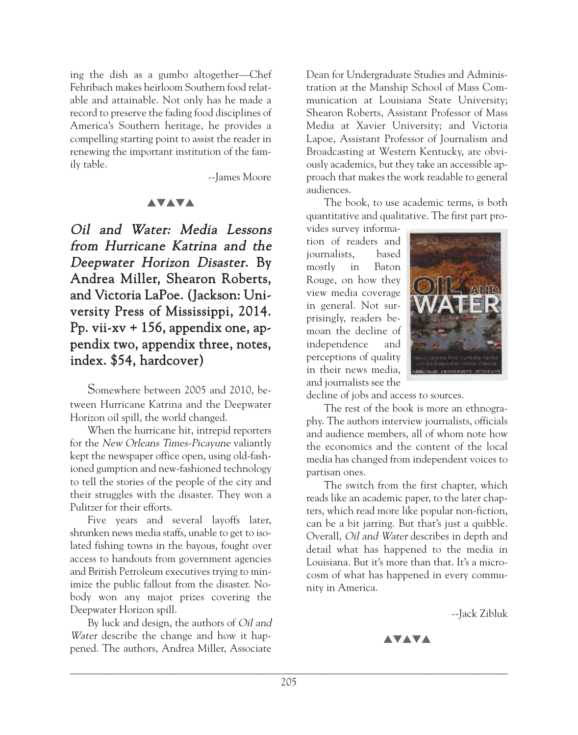ing the dish as a gumbo altogether—Chef Fehribach makes heirloom Southern food relatable and attainable. Not only has he made a record to preserve the fading food disciplines of America's Southern heritage, he provides a compelling starting point to assist the reader in renewing the important institution of the family table.

--James Moore

#### **AVAVA**

Oil and Water: Media Lessons from Hurricane Katrina and the Deepwater Horizon Disaster. By Andrea Miller, Shearon Roberts, and Victoria LaPoe. (Jackson: University Press of Mississippi, 2014. Pp. vii-xv  $+$  156, appendix one, appendix two, appendix three, notes, index. \$54, hardcover)

Somewhere between 2005 and 2010, between Hurricane Katrina and the Deepwater Horizon oil spill, the world changed.

When the hurricane hit, intrepid reporters for the New Orleans Times-Picayune valiantly kept the newspaper office open, using old-fashioned gumption and new-fashioned technology to tell the stories of the people of the city and their struggles with the disaster. They won a Pulitzer for their efforts.

Five years and several layoffs later, shrunken news media staffs, unable to get to isolated fishing towns in the bayous, fought over access to handouts from government agencies and British Petroleum executives trying to minimize the public fallout from the disaster. Nobody won any major prizes covering the Deepwater Horizon spill.

By luck and design, the authors of Oil and Water describe the change and how it happened. The authors, Andrea Miller, Associate

Dean for Undergraduate Studies and Administration at the Manship School of Mass Communication at Louisiana State University; Shearon Roberts, Assistant Professor of Mass Media at Xavier University; and Victoria Lapoe, Assistant Professor of Journalism and Broadcasting at Western Kentucky, are obviously academics, but they take an accessible approach that makes the work readable to general audiences.

The book, to use academic terms, is both quantitative and qualitative. The first part pro-

vides survey information of readers and journalists, based mostly in Baton Rouge, on how they view media coverage in general. Not surprisingly, readers bemoan the decline of independence and perceptions of quality in their news media, and journalists see the



decline of jobs and access to sources.

The rest of the book is more an ethnography. The authors interview journalists, officials and audience members, all of whom note how the economics and the content of the local media has changed from independent voices to partisan ones.

The switch from the first chapter, which reads like an academic paper, to the later chapters, which read more like popular non-fiction, can be a bit jarring. But that's just a quibble. Overall, Oil and Water describes in depth and detail what has happened to the media in Louisiana. But it's more than that. It's a microcosm of what has happened in every community in America.

--Jack Zibluk

**AVAVA**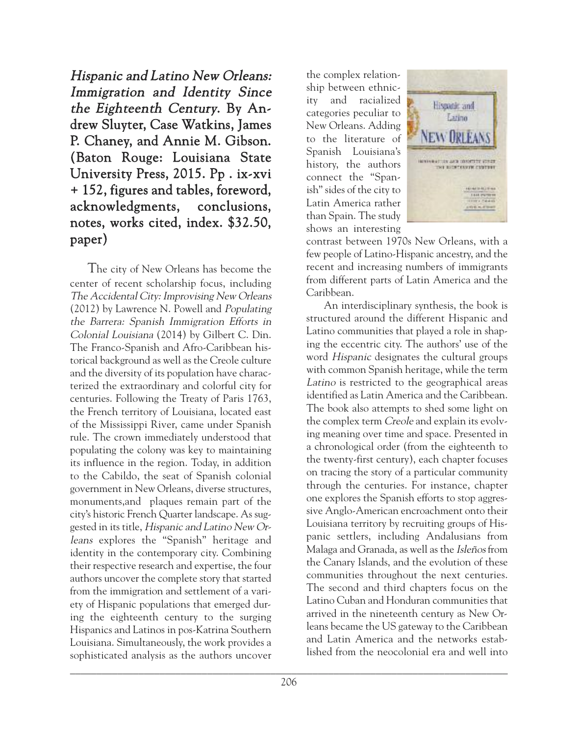Hispanic and Latino New Orleans: Immigration and Identity Since the Eighteenth Century. By Andrew Sluyter, Case Watkins, James P. Chaney, and Annie M. Gibson. (Baton Rouge: Louisiana State University Press, 2015. Pp . ix-xvi + 152, figures and tables, foreword, acknowledgments, conclusions, notes, works cited, index. \$32.50, paper)

The city of New Orleans has become the center of recent scholarship focus, including The Accidental City: Improvising New Orleans (2012) by Lawrence N. Powell and Populating the Barrera: Spanish Immigration Efforts in Colonial Louisiana (2014) by Gilbert C. Din. The Franco-Spanish and Afro-Caribbean historical background as well as the Creole culture and the diversity of its population have characterized the extraordinary and colorful city for centuries. Following the Treaty of Paris 1763, the French territory of Louisiana, located east of the Mississippi River, came under Spanish rule. The crown immediately understood that populating the colony was key to maintaining its influence in the region. Today, in addition to the Cabildo, the seat of Spanish colonial government in New Orleans, diverse structures, monuments,and plaques remain part of the city's historic French Quarter landscape. As suggested in its title, Hispanic and Latino New Orleans explores the "Spanish" heritage and identity in the contemporary city. Combining their respective research and expertise, the four authors uncover the complete story that started from the immigration and settlement of a variety of Hispanic populations that emerged during the eighteenth century to the surging Hispanics and Latinos in pos-Katrina Southern Louisiana. Simultaneously, the work provides a sophisticated analysis as the authors uncover

the complex relationship between ethnicity and racialized categories peculiar to New Orleans. Adding to the literature of Spanish Louisiana's history, the authors connect the "Spanish" sides of the city to Latin America rather than Spain. The study shows an interesting



contrast between 1970s New Orleans, with a few people of Latino-Hispanic ancestry, and the recent and increasing numbers of immigrants from different parts of Latin America and the Caribbean.

An interdisciplinary synthesis, the book is structured around the different Hispanic and Latino communities that played a role in shaping the eccentric city. The authors' use of the word *Hispanic* designates the cultural groups with common Spanish heritage, while the term Latino is restricted to the geographical areas identified as Latin America and the Caribbean. The book also attempts to shed some light on the complex term Creole and explain its evolving meaning over time and space. Presented in a chronological order (from the eighteenth to the twenty-first century), each chapter focuses on tracing the story of a particular community through the centuries. For instance, chapter one explores the Spanish efforts to stop aggressive Anglo-American encroachment onto their Louisiana territory by recruiting groups of Hispanic settlers, including Andalusians from Malaga and Granada, as well as the Isleños from the Canary Islands, and the evolution of these communities throughout the next centuries. The second and third chapters focus on the Latino Cuban and Honduran communities that arrived in the nineteenth century as New Orleans became the US gateway to the Caribbean and Latin America and the networks established from the neocolonial era and well into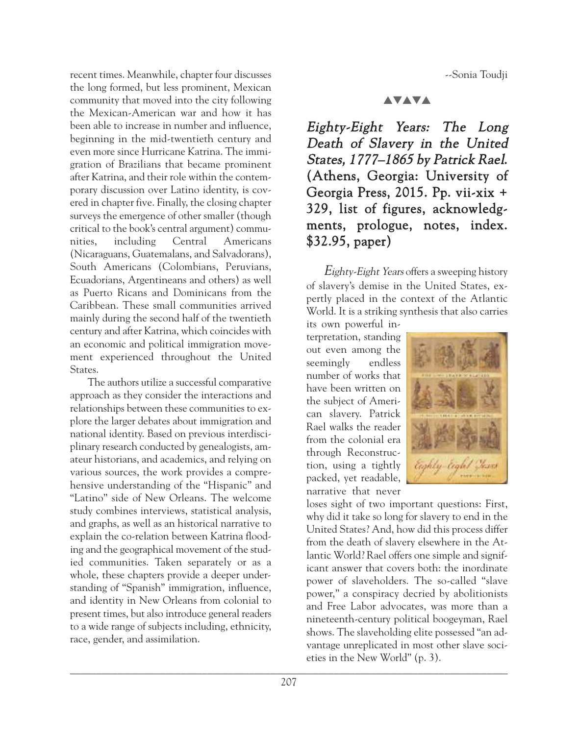--Sonia Toudji

recent times. Meanwhile, chapter four discusses the long formed, but less prominent, Mexican community that moved into the city following the Mexican-American war and how it has been able to increase in number and influence, beginning in the mid-twentieth century and even more since Hurricane Katrina. The immigration of Brazilians that became prominent after Katrina, and their role within the contemporary discussion over Latino identity, is covered in chapter five. Finally, the closing chapter surveys the emergence of other smaller (though critical to the book's central argument) communities, including Central Americans (Nicaraguans, Guatemalans, and Salvadorans), South Americans (Colombians, Peruvians, Ecuadorians, Argentineans and others) as well as Puerto Ricans and Dominicans from the Caribbean. These small communities arrived mainly during the second half of the twentieth century and after Katrina, which coincides with an economic and political immigration movement experienced throughout the United States.

The authors utilize a successful comparative approach as they consider the interactions and relationships between these communities to explore the larger debates about immigration and national identity. Based on previous interdisciplinary research conducted by genealogists, amateur historians, and academics, and relying on various sources, the work provides a comprehensive understanding of the "Hispanic" and "Latino" side of New Orleans. The welcome study combines interviews, statistical analysis, and graphs, as well as an historical narrative to explain the co-relation between Katrina flooding and the geographical movement of the studied communities. Taken separately or as a whole, these chapters provide a deeper understanding of "Spanish" immigration, influence, and identity in New Orleans from colonial to present times, but also introduce general readers to a wide range of subjects including, ethnicity, race, gender, and assimilation.

#### **AVAVA**

Eighty-Eight Years: The Long Death of Slavery in the United States, 1777–1865 by Patrick Rael. (Athens, Georgia: University of Georgia Press, 2015. Pp. vii-xix + 329, list of figures, acknowledgments, prologue, notes, index. \$32.95, paper)

Eighty-Eight Years offers a sweeping history of slavery's demise in the United States, expertly placed in the context of the Atlantic World. It is a striking synthesis that also carries

its own powerful interpretation, standing out even among the seemingly endless number of works that have been written on the subject of American slavery. Patrick Rael walks the reader from the colonial era through Reconstruction, using a tightly packed, yet readable, narrative that never



 $\frac{1}{\sqrt{2}}$ loses sight of two important questions: First, why did it take so long for slavery to end in the United States? And, how did this process differ from the death of slavery elsewhere in the Atlantic World? Rael offers one simple and significant answer that covers both: the inordinate power of slaveholders. The so-called "slave power," a conspiracy decried by abolitionists and Free Labor advocates, was more than a nineteenth-century political boogeyman, Rael shows. The slaveholding elite possessed "an advantage unreplicated in most other slave societies in the New World" (p. 3).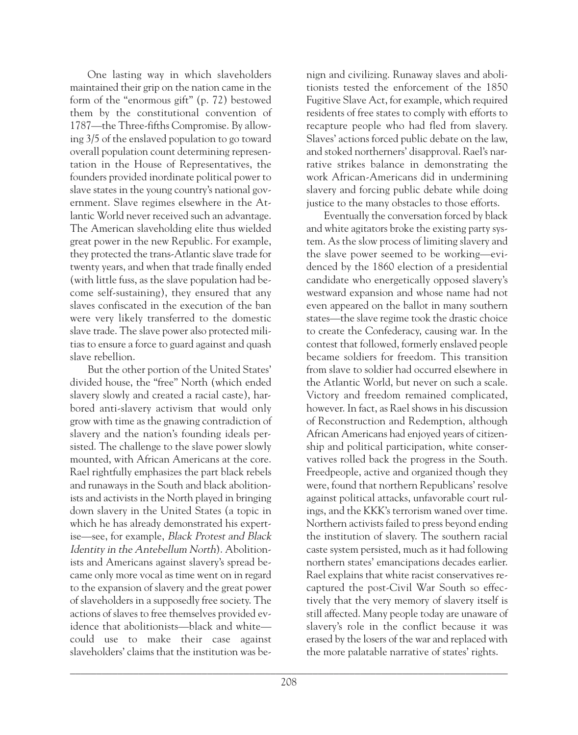One lasting way in which slaveholders maintained their grip on the nation came in the form of the "enormous gift" (p. 72) bestowed them by the constitutional convention of 1787—the Three-fifths Compromise. By allowing 3/5 of the enslaved population to go toward overall population count determining representation in the House of Representatives, the founders provided inordinate political power to slave states in the young country's national government. Slave regimes elsewhere in the Atlantic World never received such an advantage. The American slaveholding elite thus wielded great power in the new Republic. For example, they protected the trans-Atlantic slave trade for twenty years, and when that trade finally ended (with little fuss, as the slave population had become self-sustaining), they ensured that any slaves confiscated in the execution of the ban were very likely transferred to the domestic slave trade. The slave power also protected militias to ensure a force to guard against and quash slave rebellion.

But the other portion of the United States' divided house, the "free" North (which ended slavery slowly and created a racial caste), harbored anti-slavery activism that would only grow with time as the gnawing contradiction of slavery and the nation's founding ideals persisted. The challenge to the slave power slowly mounted, with African Americans at the core. Rael rightfully emphasizes the part black rebels and runaways in the South and black abolitionists and activists in the North played in bringing down slavery in the United States (a topic in which he has already demonstrated his expertise—see, for example, Black Protest and Black Identity in the Antebellum North). Abolitionists and Americans against slavery's spread became only more vocal as time went on in regard to the expansion of slavery and the great power of slaveholders in a supposedly free society. The actions of slaves to free themselves provided evidence that abolitionists—black and white could use to make their case against slaveholders' claims that the institution was benign and civilizing. Runaway slaves and abolitionists tested the enforcement of the 1850 Fugitive Slave Act, for example, which required residents of free states to comply with efforts to recapture people who had fled from slavery. Slaves' actions forced public debate on the law, and stoked northerners' disapproval. Rael's narrative strikes balance in demonstrating the work African-Americans did in undermining slavery and forcing public debate while doing justice to the many obstacles to those efforts.

Eventually the conversation forced by black and white agitators broke the existing party system. As the slow process of limiting slavery and the slave power seemed to be working—evidenced by the 1860 election of a presidential candidate who energetically opposed slavery's westward expansion and whose name had not even appeared on the ballot in many southern states—the slave regime took the drastic choice to create the Confederacy, causing war. In the contest that followed, formerly enslaved people became soldiers for freedom. This transition from slave to soldier had occurred elsewhere in the Atlantic World, but never on such a scale. Victory and freedom remained complicated, however. In fact, as Rael shows in his discussion of Reconstruction and Redemption, although African Americans had enjoyed years of citizenship and political participation, white conservatives rolled back the progress in the South. Freedpeople, active and organized though they were, found that northern Republicans' resolve against political attacks, unfavorable court rulings, and the KKK's terrorism waned over time. Northern activists failed to press beyond ending the institution of slavery. The southern racial caste system persisted, much as it had following northern states' emancipations decades earlier. Rael explains that white racist conservatives recaptured the post-Civil War South so effectively that the very memory of slavery itself is still affected. Many people today are unaware of slavery's role in the conflict because it was erased by the losers of the war and replaced with the more palatable narrative of states' rights.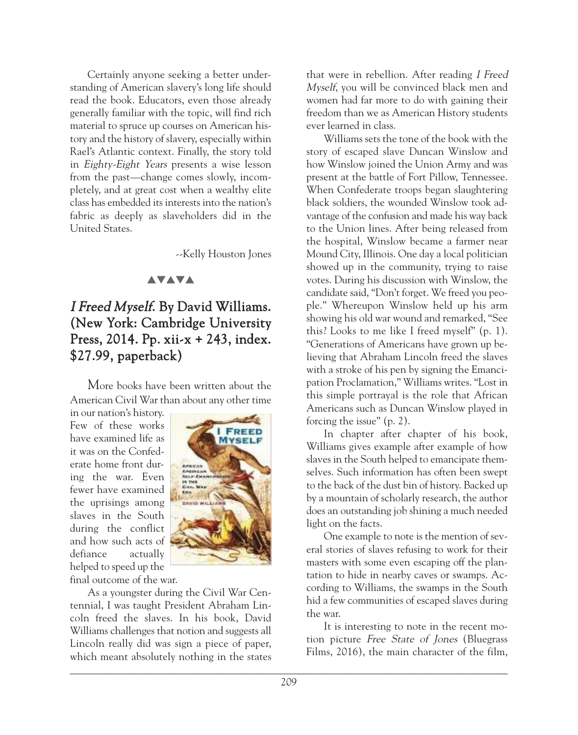Certainly anyone seeking a better understanding of American slavery's long life should read the book. Educators, even those already generally familiar with the topic, will find rich material to spruce up courses on American history and the history of slavery, especially within Rael's Atlantic context. Finally, the story told in Eighty-Eight Years presents a wise lesson from the past—change comes slowly, incompletely, and at great cost when a wealthy elite class has embedded its interests into the nation's fabric as deeply as slaveholders did in the United States.

--Kelly Houston Jones

#### **AVAVA**

# I Freed Myself. By David Williams. (New York: Cambridge University Press, 2014. Pp. xii-x + 243, index. \$27.99, paperback)

More books have been written about the American Civil War than about any other time

in our nation's history. Few of these works have examined life as it was on the Confederate home front during the war. Even fewer have examined the uprisings among slaves in the South during the conflict and how such acts of defiance actually helped to speed up the final outcome of the war.



As a youngster during the Civil War Centennial, I was taught President Abraham Lincoln freed the slaves. In his book, David Williams challenges that notion and suggests all Lincoln really did was sign a piece of paper, which meant absolutely nothing in the states that were in rebellion. After reading I Freed Myself, you will be convinced black men and women had far more to do with gaining their freedom than we as American History students ever learned in class.

Williams sets the tone of the book with the story of escaped slave Duncan Winslow and how Winslow joined the Union Army and was present at the battle of Fort Pillow, Tennessee. When Confederate troops began slaughtering black soldiers, the wounded Winslow took advantage of the confusion and made his way back to the Union lines. After being released from the hospital, Winslow became a farmer near Mound City, Illinois. One day a local politician showed up in the community, trying to raise votes. During his discussion with Winslow, the candidate said, "Don't forget. We freed you people." Whereupon Winslow held up his arm showing his old war wound and remarked, "See this? Looks to me like I freed myself" (p. 1). "Generations of Americans have grown up believing that Abraham Lincoln freed the slaves with a stroke of his pen by signing the Emancipation Proclamation," Williams writes. "Lost in this simple portrayal is the role that African Americans such as Duncan Winslow played in forcing the issue" (p. 2).

In chapter after chapter of his book, Williams gives example after example of how slaves in the South helped to emancipate themselves. Such information has often been swept to the back of the dust bin of history. Backed up by a mountain of scholarly research, the author does an outstanding job shining a much needed light on the facts.

One example to note is the mention of several stories of slaves refusing to work for their masters with some even escaping off the plantation to hide in nearby caves or swamps. According to Williams, the swamps in the South hid a few communities of escaped slaves during the war.

It is interesting to note in the recent motion picture Free State of Jones (Bluegrass Films, 2016), the main character of the film,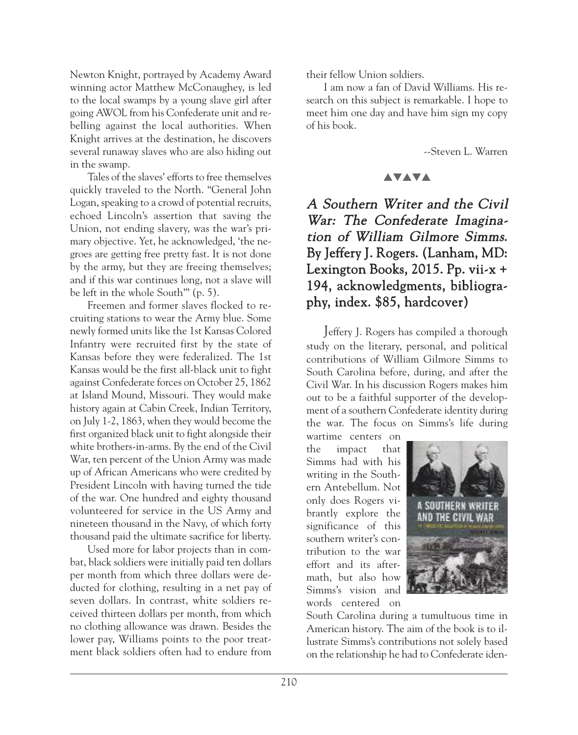Newton Knight, portrayed by Academy Award winning actor Matthew McConaughey, is led to the local swamps by a young slave girl after going AWOL from his Confederate unit and rebelling against the local authorities. When Knight arrives at the destination, he discovers several runaway slaves who are also hiding out in the swamp.

Tales of the slaves' efforts to free themselves quickly traveled to the North. "General John Logan, speaking to a crowd of potential recruits, echoed Lincoln's assertion that saving the Union, not ending slavery, was the war's primary objective. Yet, he acknowledged, 'the negroes are getting free pretty fast. It is not done by the army, but they are freeing themselves; and if this war continues long, not a slave will be left in the whole South'" (p. 5).

Freemen and former slaves flocked to recruiting stations to wear the Army blue. Some newly formed units like the 1st Kansas Colored Infantry were recruited first by the state of Kansas before they were federalized. The 1st Kansas would be the first all-black unit to fight against Confederate forces on October 25, 1862 at Island Mound, Missouri. They would make history again at Cabin Creek, Indian Territory, on July 1-2, 1863, when they would become the first organized black unit to fight alongside their white brothers-in-arms. By the end of the Civil War, ten percent of the Union Army was made up of African Americans who were credited by President Lincoln with having turned the tide of the war. One hundred and eighty thousand volunteered for service in the US Army and nineteen thousand in the Navy, of which forty thousand paid the ultimate sacrifice for liberty.

Used more for labor projects than in combat, black soldiers were initially paid ten dollars per month from which three dollars were deducted for clothing, resulting in a net pay of seven dollars. In contrast, white soldiers received thirteen dollars per month, from which no clothing allowance was drawn. Besides the lower pay, Williams points to the poor treatment black soldiers often had to endure from

their fellow Union soldiers.

I am now a fan of David Williams. His research on this subject is remarkable. I hope to meet him one day and have him sign my copy of his book.

--Steven L. Warren

#### **AVAVA**

# A Southern Writer and the Civil War: The Confederate Imagination of William Gilmore Simms. By Jeffery J. Rogers. (Lanham, MD: Lexington Books, 2015. Pp. vii-x + 194, acknowledgments, bibliography, index. \$85, hardcover)

Jeffery J. Rogers has compiled a thorough study on the literary, personal, and political contributions of William Gilmore Simms to South Carolina before, during, and after the Civil War. In his discussion Rogers makes him out to be a faithful supporter of the development of a southern Confederate identity during the war. The focus on Simms's life during

wartime centers on the impact that Simms had with his writing in the Southern Antebellum. Not only does Rogers vibrantly explore the significance of this southern writer's contribution to the war effort and its aftermath, but also how Simms's vision and words centered on



South Carolina during a tumultuous time in American history. The aim of the book is to illustrate Simms's contributions not solely based on the relationship he had to Confederate iden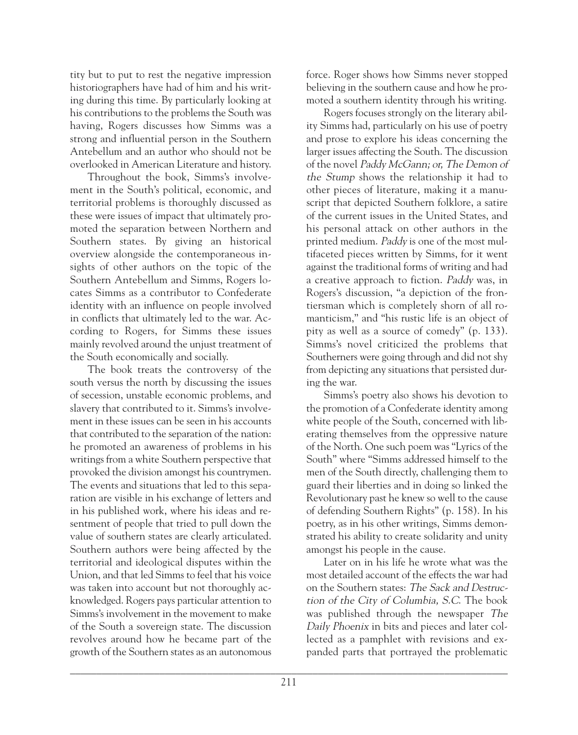tity but to put to rest the negative impression historiographers have had of him and his writing during this time. By particularly looking at his contributions to the problems the South was having, Rogers discusses how Simms was a strong and influential person in the Southern Antebellum and an author who should not be overlooked in American Literature and history.

Throughout the book, Simms's involvement in the South's political, economic, and territorial problems is thoroughly discussed as these were issues of impact that ultimately promoted the separation between Northern and Southern states. By giving an historical overview alongside the contemporaneous insights of other authors on the topic of the Southern Antebellum and Simms, Rogers locates Simms as a contributor to Confederate identity with an influence on people involved in conflicts that ultimately led to the war. According to Rogers, for Simms these issues mainly revolved around the unjust treatment of the South economically and socially.

The book treats the controversy of the south versus the north by discussing the issues of secession, unstable economic problems, and slavery that contributed to it. Simms's involvement in these issues can be seen in his accounts that contributed to the separation of the nation: he promoted an awareness of problems in his writings from a white Southern perspective that provoked the division amongst his countrymen. The events and situations that led to this separation are visible in his exchange of letters and in his published work, where his ideas and resentment of people that tried to pull down the value of southern states are clearly articulated. Southern authors were being affected by the territorial and ideological disputes within the Union, and that led Simms to feel that his voice was taken into account but not thoroughly acknowledged. Rogers pays particular attention to Simms's involvement in the movement to make of the South a sovereign state. The discussion revolves around how he became part of the growth of the Southern states as an autonomous

force. Roger shows how Simms never stopped believing in the southern cause and how he promoted a southern identity through his writing.

Rogers focuses strongly on the literary ability Simms had, particularly on his use of poetry and prose to explore his ideas concerning the larger issues affecting the South. The discussion of the novel Paddy McGann; or, The Demon of the Stump shows the relationship it had to other pieces of literature, making it a manuscript that depicted Southern folklore, a satire of the current issues in the United States, and his personal attack on other authors in the printed medium. Paddy is one of the most multifaceted pieces written by Simms, for it went against the traditional forms of writing and had a creative approach to fiction. Paddy was, in Rogers's discussion, "a depiction of the frontiersman which is completely shorn of all romanticism," and "his rustic life is an object of pity as well as a source of comedy" (p. 133). Simms's novel criticized the problems that Southerners were going through and did not shy from depicting any situations that persisted during the war.

Simms's poetry also shows his devotion to the promotion of a Confederate identity among white people of the South, concerned with liberating themselves from the oppressive nature of the North. One such poem was "Lyrics of the South" where "Simms addressed himself to the men of the South directly, challenging them to guard their liberties and in doing so linked the Revolutionary past he knew so well to the cause of defending Southern Rights" (p. 158). In his poetry, as in his other writings, Simms demonstrated his ability to create solidarity and unity amongst his people in the cause.

Later on in his life he wrote what was the most detailed account of the effects the war had on the Southern states: The Sack and Destruction of the City of Columbia, S.C. The book was published through the newspaper The Daily Phoenix in bits and pieces and later collected as a pamphlet with revisions and expanded parts that portrayed the problematic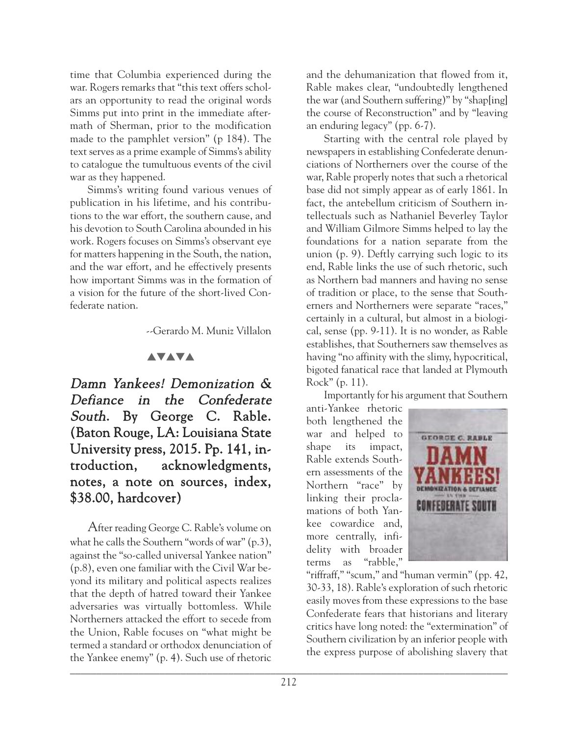time that Columbia experienced during the war. Rogers remarks that "this text offers scholars an opportunity to read the original words Simms put into print in the immediate aftermath of Sherman, prior to the modification made to the pamphlet version" (p 184). The text serves as a prime example of Simms's ability to catalogue the tumultuous events of the civil war as they happened.

Simms's writing found various venues of publication in his lifetime, and his contributions to the war effort, the southern cause, and his devotion to South Carolina abounded in his work. Rogers focuses on Simms's observant eye for matters happening in the South, the nation, and the war effort, and he effectively presents how important Simms was in the formation of a vision for the future of the short-lived Confederate nation.

--Gerardo M. Muniz Villalon

#### **AVAVA**

Damn Yankees! Demonization & Defiance in the Confederate South. By George C. Rable. (Baton Rouge, LA: Louisiana State University press, 2015. Pp. 141, introduction, acknowledgments, notes, a note on sources, index, \$38.00, hardcover)

 $\frac{1}{2}$  and  $\frac{1}{2}$  and  $\frac{1}{2}$  and  $\frac{1}{2}$  and  $\frac{1}{2}$  and  $\frac{1}{2}$  and  $\frac{1}{2}$  and  $\frac{1}{2}$  and  $\frac{1}{2}$  and  $\frac{1}{2}$  and  $\frac{1}{2}$  and  $\frac{1}{2}$  and  $\frac{1}{2}$  and  $\frac{1}{2}$  and  $\frac{1}{2}$  and  $\frac{1}{2}$  a After reading George C. Rable's volume on what he calls the Southern "words of war" (p.3), against the "so-called universal Yankee nation" (p.8), even one familiar with the Civil War beyond its military and political aspects realizes that the depth of hatred toward their Yankee adversaries was virtually bottomless. While Northerners attacked the effort to secede from the Union, Rable focuses on "what might be termed a standard or orthodox denunciation of the Yankee enemy" (p. 4). Such use of rhetoric

and the dehumanization that flowed from it, Rable makes clear, "undoubtedly lengthened the war (and Southern suffering)" by "shap[ing] the course of Reconstruction" and by "leaving an enduring legacy" (pp. 6-7).

Starting with the central role played by newspapers in establishing Confederate denunciations of Northerners over the course of the war, Rable properly notes that such a rhetorical base did not simply appear as of early 1861. In fact, the antebellum criticism of Southern intellectuals such as Nathaniel Beverley Taylor and William Gilmore Simms helped to lay the foundations for a nation separate from the union (p. 9). Deftly carrying such logic to its end, Rable links the use of such rhetoric, such as Northern bad manners and having no sense of tradition or place, to the sense that Southerners and Northerners were separate "races," certainly in a cultural, but almost in a biological, sense (pp. 9-11). It is no wonder, as Rable establishes, that Southerners saw themselves as having "no affinity with the slimy, hypocritical, bigoted fanatical race that landed at Plymouth Rock" (p. 11).

Importantly for his argument that Southern

anti-Yankee rhetoric both lengthened the war and helped to shape its impact, Rable extends Southern assessments of the Northern "race" by linking their proclamations of both Yankee cowardice and, more centrally, infidelity with broader terms as "rabble,"



"riffraff," "scum," and "human vermin" (pp. 42, 30-33, 18). Rable's exploration of such rhetoric easily moves from these expressions to the base Confederate fears that historians and literary critics have long noted: the "extermination" of Southern civilization by an inferior people with the express purpose of abolishing slavery that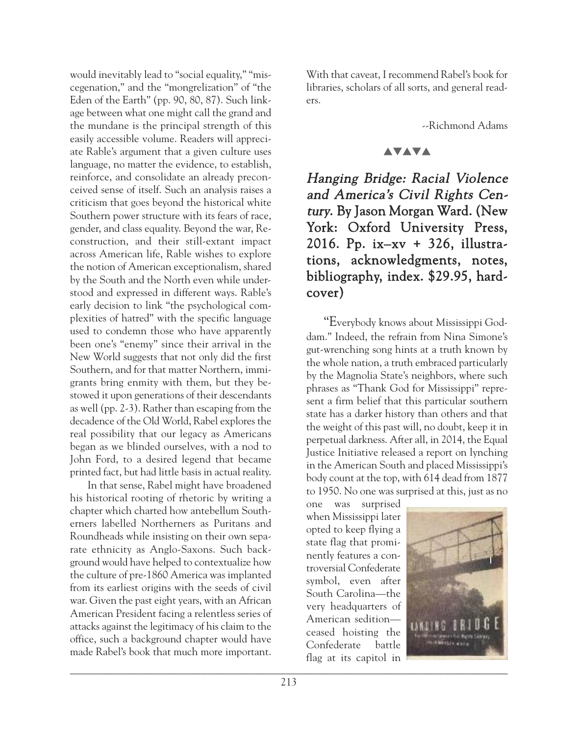would inevitably lead to "social equality," "miscegenation," and the "mongrelization" of "the Eden of the Earth" (pp. 90, 80, 87). Such linkage between what one might call the grand and the mundane is the principal strength of this easily accessible volume. Readers will appreciate Rable's argument that a given culture uses language, no matter the evidence, to establish, reinforce, and consolidate an already preconceived sense of itself. Such an analysis raises a criticism that goes beyond the historical white Southern power structure with its fears of race, gender, and class equality. Beyond the war, Reconstruction, and their still-extant impact across American life, Rable wishes to explore the notion of American exceptionalism, shared by the South and the North even while understood and expressed in different ways. Rable's early decision to link "the psychological complexities of hatred" with the specific language used to condemn those who have apparently been one's "enemy" since their arrival in the New World suggests that not only did the first Southern, and for that matter Northern, immigrants bring enmity with them, but they bestowed it upon generations of their descendants as well (pp. 2-3). Rather than escaping from the decadence of the Old World, Rabel explores the real possibility that our legacy as Americans began as we blinded ourselves, with a nod to John Ford, to a desired legend that became printed fact, but had little basis in actual reality.

In that sense, Rabel might have broadened his historical rooting of rhetoric by writing a chapter which charted how antebellum Southerners labelled Northerners as Puritans and Roundheads while insisting on their own separate ethnicity as Anglo-Saxons. Such background would have helped to contextualize how the culture of pre-1860 America was implanted from its earliest origins with the seeds of civil war. Given the past eight years, with an African American President facing a relentless series of attacks against the legitimacy of his claim to the office, such a background chapter would have made Rabel's book that much more important.

With that caveat, I recommend Rabel's book for libraries, scholars of all sorts, and general readers.

--Richmond Adams

#### **AVAVA**

Hanging Bridge: Racial Violence and America's Civil Rights Century. By Jason Morgan Ward. (New York: Oxford University Press, 2016. Pp. ix–xv + 326, illustrations, acknowledgments, notes, bibliography, index. \$29.95, hardcover)

"Everybody knows about Mississippi Goddam." Indeed, the refrain from Nina Simone's gut-wrenching song hints at a truth known by the whole nation, a truth embraced particularly by the Magnolia State's neighbors, where such phrases as "Thank God for Mississippi" represent a firm belief that this particular southern state has a darker history than others and that the weight of this past will, no doubt, keep it in perpetual darkness. After all, in 2014, the Equal Justice Initiative released a report on lynching in the American South and placed Mississippi's body count at the top, with 614 dead from 1877 to 1950. No one was surprised at this, just as no

one was surprised when Mississippi later opted to keep flying a state flag that prominently features a controversial Confederate symbol, even after South Carolina—the very headquarters of American sedition ceased hoisting the Confederate battle flag at its capitol in

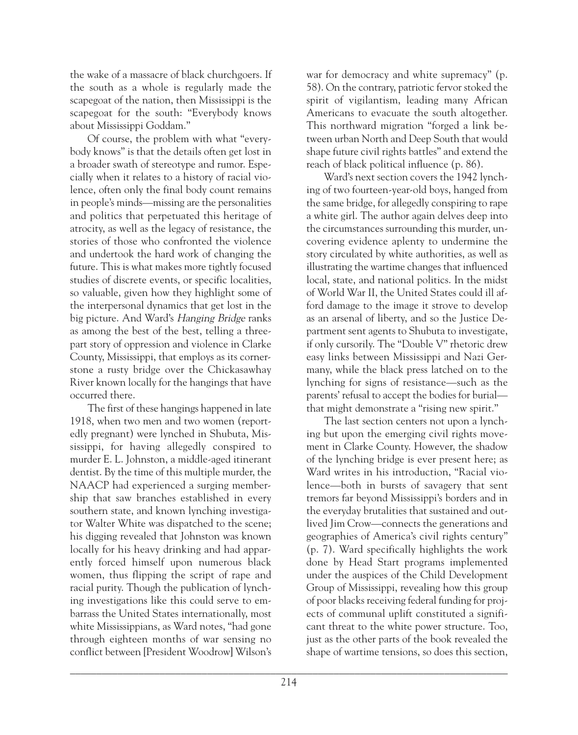the wake of a massacre of black churchgoers. If the south as a whole is regularly made the scapegoat of the nation, then Mississippi is the scapegoat for the south: "Everybody knows about Mississippi Goddam."

Of course, the problem with what "everybody knows" is that the details often get lost in a broader swath of stereotype and rumor. Especially when it relates to a history of racial violence, often only the final body count remains in people's minds—missing are the personalities and politics that perpetuated this heritage of atrocity, as well as the legacy of resistance, the stories of those who confronted the violence and undertook the hard work of changing the future. This is what makes more tightly focused studies of discrete events, or specific localities, so valuable, given how they highlight some of the interpersonal dynamics that get lost in the big picture. And Ward's Hanging Bridge ranks as among the best of the best, telling a threepart story of oppression and violence in Clarke County, Mississippi, that employs as its cornerstone a rusty bridge over the Chickasawhay River known locally for the hangings that have occurred there.

The first of these hangings happened in late 1918, when two men and two women (reportedly pregnant) were lynched in Shubuta, Mississippi, for having allegedly conspired to murder E. L. Johnston, a middle-aged itinerant dentist. By the time of this multiple murder, the NAACP had experienced a surging membership that saw branches established in every southern state, and known lynching investigator Walter White was dispatched to the scene; his digging revealed that Johnston was known locally for his heavy drinking and had apparently forced himself upon numerous black women, thus flipping the script of rape and racial purity. Though the publication of lynching investigations like this could serve to embarrass the United States internationally, most white Mississippians, as Ward notes, "had gone through eighteen months of war sensing no conflict between [President Woodrow] Wilson's war for democracy and white supremacy" (p. 58). On the contrary, patriotic fervor stoked the spirit of vigilantism, leading many African Americans to evacuate the south altogether. This northward migration "forged a link between urban North and Deep South that would shape future civil rights battles" and extend the reach of black political influence (p. 86).

Ward's next section covers the 1942 lynching of two fourteen-year-old boys, hanged from the same bridge, for allegedly conspiring to rape a white girl. The author again delves deep into the circumstances surrounding this murder, uncovering evidence aplenty to undermine the story circulated by white authorities, as well as illustrating the wartime changes that influenced local, state, and national politics. In the midst of World War II, the United States could ill afford damage to the image it strove to develop as an arsenal of liberty, and so the Justice Department sent agents to Shubuta to investigate, if only cursorily. The "Double V" rhetoric drew easy links between Mississippi and Nazi Germany, while the black press latched on to the lynching for signs of resistance—such as the parents' refusal to accept the bodies for burial that might demonstrate a "rising new spirit."

The last section centers not upon a lynching but upon the emerging civil rights movement in Clarke County. However, the shadow of the lynching bridge is ever present here; as Ward writes in his introduction, "Racial violence—both in bursts of savagery that sent tremors far beyond Mississippi's borders and in the everyday brutalities that sustained and outlived Jim Crow—connects the generations and geographies of America's civil rights century" (p. 7). Ward specifically highlights the work done by Head Start programs implemented under the auspices of the Child Development Group of Mississippi, revealing how this group of poor blacks receiving federal funding for projects of communal uplift constituted a significant threat to the white power structure. Too, just as the other parts of the book revealed the shape of wartime tensions, so does this section,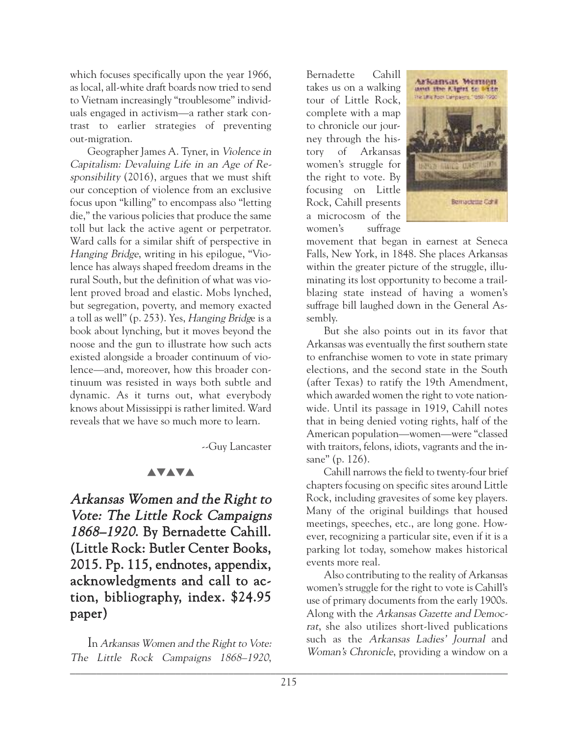which focuses specifically upon the year 1966, as local, all-white draft boards now tried to send to Vietnam increasingly "troublesome" individuals engaged in activism—a rather stark contrast to earlier strategies of preventing out-migration.

Geographer James A. Tyner, in Violence in Capitalism: Devaluing Life in an Age of Responsibility (2016), argues that we must shift our conception of violence from an exclusive focus upon "killing" to encompass also "letting die," the various policies that produce the same toll but lack the active agent or perpetrator. Ward calls for a similar shift of perspective in Hanging Bridge, writing in his epilogue, "Violence has always shaped freedom dreams in the rural South, but the definition of what was violent proved broad and elastic. Mobs lynched, but segregation, poverty, and memory exacted a toll as well" (p. 253). Yes, Hanging Bridge is a book about lynching, but it moves beyond the noose and the gun to illustrate how such acts existed alongside a broader continuum of violence—and, moreover, how this broader continuum was resisted in ways both subtle and dynamic. As it turns out, what everybody knows about Mississippi is rather limited. Ward reveals that we have so much more to learn.

--Guy Lancaster

## **AVAVA**

Arkansas Women and the Right to Vote: The Little Rock Campaigns 1868–1920. By Bernadette Cahill. (Little Rock: Butler Center Books, 2015. Pp. 115, endnotes, appendix, acknowledgments and call to action, bibliography, index. \$24.95 paper)

 $\overline{1}$  ,  $\overline{0}$ In Arkansas Women and the Right to Vote: The Little Rock Campaigns 1868–1920,

Bernadette Cahill takes us on a walking tour of Little Rock, complete with a map to chronicle our journey through the history of Arkansas women's struggle for the right to vote. By focusing on Little Rock, Cahill presents a microcosm of the women's suffrage



movement that began in earnest at Seneca Falls, New York, in 1848. She places Arkansas within the greater picture of the struggle, illuminating its lost opportunity to become a trailblazing state instead of having a women's suffrage bill laughed down in the General Assembly.

But she also points out in its favor that Arkansas was eventually the first southern state to enfranchise women to vote in state primary elections, and the second state in the South (after Texas) to ratify the 19th Amendment, which awarded women the right to vote nationwide. Until its passage in 1919, Cahill notes that in being denied voting rights, half of the American population—women—were "classed with traitors, felons, idiots, vagrants and the insane" (p. 126).

Cahill narrows the field to twenty-four brief chapters focusing on specific sites around Little Rock, including gravesites of some key players. Many of the original buildings that housed meetings, speeches, etc., are long gone. However, recognizing a particular site, even if it is a parking lot today, somehow makes historical events more real.

Also contributing to the reality of Arkansas women's struggle for the right to vote is Cahill's use of primary documents from the early 1900s. Along with the Arkansas Gazette and Democrat, she also utilizes short-lived publications such as the Arkansas Ladies' Journal and Woman's Chronicle, providing a window on a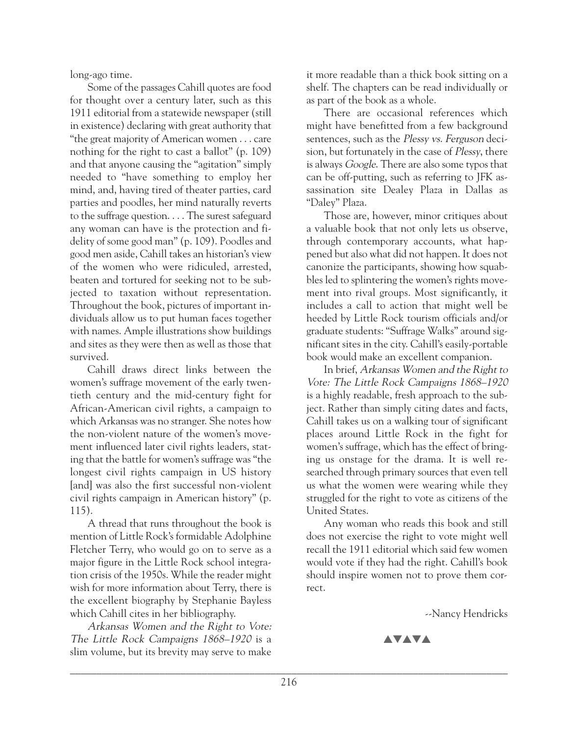long-ago time.

Some of the passages Cahill quotes are food for thought over a century later, such as this 1911 editorial from a statewide newspaper (still in existence) declaring with great authority that "the great majority of American women . . . care nothing for the right to cast a ballot" (p. 109) and that anyone causing the "agitation" simply needed to "have something to employ her mind, and, having tired of theater parties, card parties and poodles, her mind naturally reverts to the suffrage question. . . . The surest safeguard any woman can have is the protection and fidelity of some good man" (p. 109). Poodles and good men aside, Cahill takes an historian's view of the women who were ridiculed, arrested, beaten and tortured for seeking not to be subjected to taxation without representation. Throughout the book, pictures of important individuals allow us to put human faces together with names. Ample illustrations show buildings and sites as they were then as well as those that survived.

Cahill draws direct links between the women's suffrage movement of the early twentieth century and the mid-century fight for African-American civil rights, a campaign to which Arkansas was no stranger. She notes how the non-violent nature of the women's movement influenced later civil rights leaders, stating that the battle for women's suffrage was "the longest civil rights campaign in US history [and] was also the first successful non-violent civil rights campaign in American history" (p. 115).

A thread that runs throughout the book is mention of Little Rock's formidable Adolphine Fletcher Terry, who would go on to serve as a major figure in the Little Rock school integration crisis of the 1950s. While the reader might wish for more information about Terry, there is the excellent biography by Stephanie Bayless which Cahill cites in her bibliography.

Arkansas Women and the Right to Vote: The Little Rock Campaigns 1868–1920 is a slim volume, but its brevity may serve to make

it more readable than a thick book sitting on a shelf. The chapters can be read individually or as part of the book as a whole.

There are occasional references which might have benefitted from a few background sentences, such as the Plessy vs. Ferguson decision, but fortunately in the case of Plessy, there is always Google. There are also some typos that can be off-putting, such as referring to JFK assassination site Dealey Plaza in Dallas as "Daley" Plaza.

Those are, however, minor critiques about a valuable book that not only lets us observe, through contemporary accounts, what happened but also what did not happen. It does not canonize the participants, showing how squabbles led to splintering the women's rights movement into rival groups. Most significantly, it includes a call to action that might well be heeded by Little Rock tourism officials and/or graduate students: "Suffrage Walks" around significant sites in the city. Cahill's easily-portable book would make an excellent companion.

In brief, Arkansas Women and the Right to Vote: The Little Rock Campaigns 1868–1920 is a highly readable, fresh approach to the subject. Rather than simply citing dates and facts, Cahill takes us on a walking tour of significant places around Little Rock in the fight for women's suffrage, which has the effect of bringing us onstage for the drama. It is well researched through primary sources that even tell us what the women were wearing while they struggled for the right to vote as citizens of the United States.

Any woman who reads this book and still does not exercise the right to vote might well recall the 1911 editorial which said few women would vote if they had the right. Cahill's book should inspire women not to prove them correct.

--Nancy Hendricks

**AVAVA**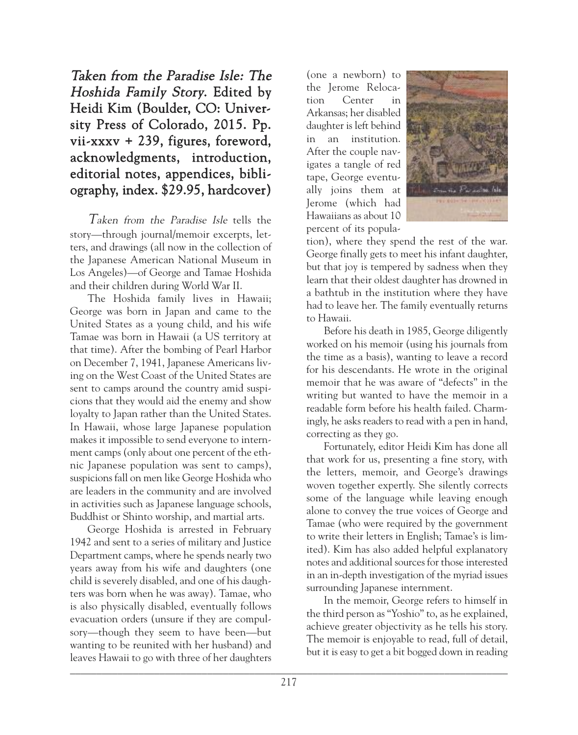Taken from the Paradise Isle: The Hoshida Family Story. Edited by Heidi Kim (Boulder, CO: University Press of Colorado, 2015. Pp. vii-xxxv + 239, figures, foreword, acknowledgments, introduction, editorial notes, appendices, bibliography, index. \$29.95, hardcover)

Taken from the Paradise Isle tells the story—through journal/memoir excerpts, letters, and drawings (all now in the collection of the Japanese American National Museum in Los Angeles)—of George and Tamae Hoshida and their children during World War II.

The Hoshida family lives in Hawaii; George was born in Japan and came to the United States as a young child, and his wife Tamae was born in Hawaii (a US territory at that time). After the bombing of Pearl Harbor on December 7, 1941, Japanese Americans living on the West Coast of the United States are sent to camps around the country amid suspicions that they would aid the enemy and show loyalty to Japan rather than the United States. In Hawaii, whose large Japanese population makes it impossible to send everyone to internment camps (only about one percent of the ethnic Japanese population was sent to camps), suspicions fall on men like George Hoshida who are leaders in the community and are involved in activities such as Japanese language schools, Buddhist or Shinto worship, and martial arts.

 $\Box$ George Hoshida is arrested in February 1942 and sent to a series of military and Justice Department camps, where he spends nearly two years away from his wife and daughters (one child is severely disabled, and one of his daughters was born when he was away). Tamae, who is also physically disabled, eventually follows evacuation orders (unsure if they are compulsory—though they seem to have been—but wanting to be reunited with her husband) and leaves Hawaii to go with three of her daughters

(one a newborn) to the Jerome Relocation Center in Arkansas; her disabled daughter is left behind in an institution. After the couple navigates a tangle of red tape, George eventually joins them at Jerome (which had Hawaiians as about 10 percent of its popula-



tion), where they spend the rest of the war. George finally gets to meet his infant daughter, but that joy is tempered by sadness when they learn that their oldest daughter has drowned in a bathtub in the institution where they have had to leave her. The family eventually returns to Hawaii.

Before his death in 1985, George diligently worked on his memoir (using his journals from the time as a basis), wanting to leave a record for his descendants. He wrote in the original memoir that he was aware of "defects" in the writing but wanted to have the memoir in a readable form before his health failed. Charmingly, he asks readers to read with a pen in hand, correcting as they go.

Fortunately, editor Heidi Kim has done all that work for us, presenting a fine story, with the letters, memoir, and George's drawings woven together expertly. She silently corrects some of the language while leaving enough alone to convey the true voices of George and Tamae (who were required by the government to write their letters in English; Tamae's is limited). Kim has also added helpful explanatory notes and additional sources for those interested in an in-depth investigation of the myriad issues surrounding Japanese internment.

In the memoir, George refers to himself in the third person as "Yoshio" to, as he explained, achieve greater objectivity as he tells his story. The memoir is enjoyable to read, full of detail, but it is easy to get a bit bogged down in reading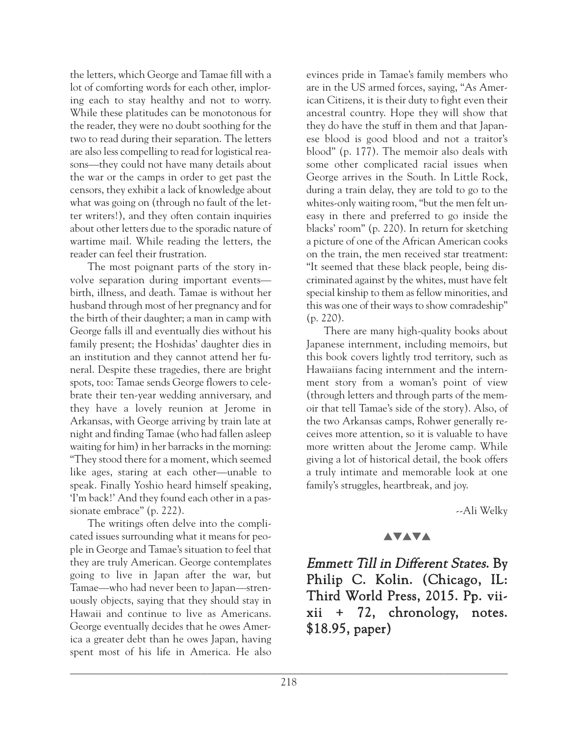the letters, which George and Tamae fill with a lot of comforting words for each other, imploring each to stay healthy and not to worry. While these platitudes can be monotonous for the reader, they were no doubt soothing for the two to read during their separation. The letters are also less compelling to read for logistical reasons—they could not have many details about the war or the camps in order to get past the censors, they exhibit a lack of knowledge about what was going on (through no fault of the letter writers!), and they often contain inquiries about other letters due to the sporadic nature of wartime mail. While reading the letters, the reader can feel their frustration.

The most poignant parts of the story involve separation during important events birth, illness, and death. Tamae is without her husband through most of her pregnancy and for the birth of their daughter; a man in camp with George falls ill and eventually dies without his family present; the Hoshidas' daughter dies in an institution and they cannot attend her funeral. Despite these tragedies, there are bright spots, too: Tamae sends George flowers to celebrate their ten-year wedding anniversary, and they have a lovely reunion at Jerome in Arkansas, with George arriving by train late at night and finding Tamae (who had fallen asleep waiting for him) in her barracks in the morning: "They stood there for a moment, which seemed like ages, staring at each other—unable to speak. Finally Yoshio heard himself speaking, 'I'm back!' And they found each other in a passionate embrace" (p. 222).

The writings often delve into the complicated issues surrounding what it means for people in George and Tamae's situation to feel that they are truly American. George contemplates going to live in Japan after the war, but Tamae—who had never been to Japan—strenuously objects, saying that they should stay in Hawaii and continue to live as Americans. George eventually decides that he owes America a greater debt than he owes Japan, having spent most of his life in America. He also evinces pride in Tamae's family members who are in the US armed forces, saying, "As American Citizens, it is their duty to fight even their ancestral country. Hope they will show that they do have the stuff in them and that Japanese blood is good blood and not a traitor's blood" (p. 177). The memoir also deals with some other complicated racial issues when George arrives in the South. In Little Rock, during a train delay, they are told to go to the whites-only waiting room, "but the men felt uneasy in there and preferred to go inside the blacks' room" (p. 220). In return for sketching a picture of one of the African American cooks on the train, the men received star treatment: "It seemed that these black people, being discriminated against by the whites, must have felt special kinship to them as fellow minorities, and this was one of their ways to show comradeship" (p. 220).

There are many high-quality books about Japanese internment, including memoirs, but this book covers lightly trod territory, such as Hawaiians facing internment and the internment story from a woman's point of view (through letters and through parts of the memoir that tell Tamae's side of the story). Also, of the two Arkansas camps, Rohwer generally receives more attention, so it is valuable to have more written about the Jerome camp. While giving a lot of historical detail, the book offers a truly intimate and memorable look at one family's struggles, heartbreak, and joy.

--Ali Welky

#### **AVAVA**

Emmett Till in Different States. By Philip C. Kolin. (Chicago, IL: Third World Press, 2015. Pp. viixii + 72, chronology, notes. \$18.95, paper)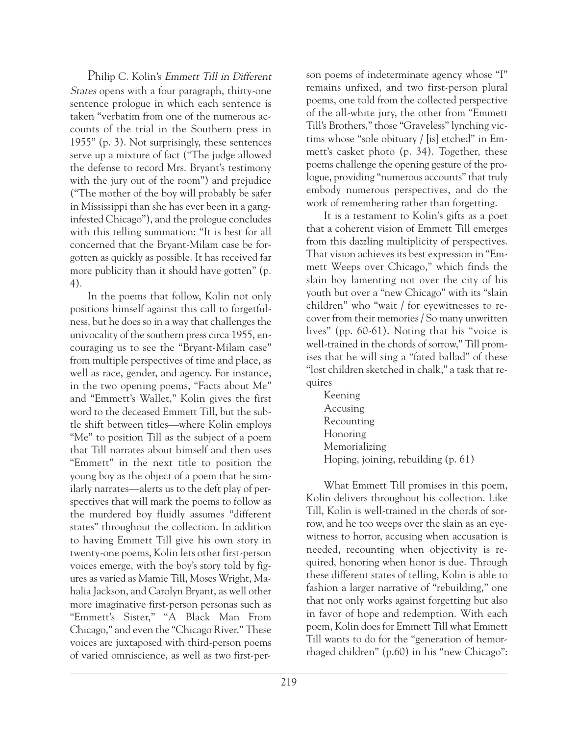Philip C. Kolin's Emmett Till in Different States opens with a four paragraph, thirty-one sentence prologue in which each sentence is taken "verbatim from one of the numerous accounts of the trial in the Southern press in 1955" (p. 3). Not surprisingly, these sentences serve up a mixture of fact ("The judge allowed the defense to record Mrs. Bryant's testimony with the jury out of the room") and prejudice ("The mother of the boy will probably be safer in Mississippi than she has ever been in a ganginfested Chicago"), and the prologue concludes with this telling summation: "It is best for all concerned that the Bryant-Milam case be forgotten as quickly as possible. It has received far more publicity than it should have gotten" (p. 4).

In the poems that follow, Kolin not only positions himself against this call to forgetfulness, but he does so in a way that challenges the univocality of the southern press circa 1955, encouraging us to see the "Bryant-Milam case" from multiple perspectives of time and place, as well as race, gender, and agency. For instance, in the two opening poems, "Facts about Me" and "Emmett's Wallet," Kolin gives the first word to the deceased Emmett Till, but the subtle shift between titles—where Kolin employs "Me" to position Till as the subject of a poem that Till narrates about himself and then uses "Emmett" in the next title to position the young boy as the object of a poem that he similarly narrates—alerts us to the deft play of perspectives that will mark the poems to follow as the murdered boy fluidly assumes "different states" throughout the collection. In addition to having Emmett Till give his own story in twenty-one poems, Kolin lets other first-person voices emerge, with the boy's story told by figures as varied as Mamie Till, Moses Wright, Mahalia Jackson, and Carolyn Bryant, as well other more imaginative first-person personas such as "Emmett's Sister," "A Black Man From Chicago," and even the "Chicago River." These voices are juxtaposed with third-person poems of varied omniscience, as well as two first-person poems of indeterminate agency whose "I" remains unfixed, and two first-person plural poems, one told from the collected perspective of the all-white jury, the other from "Emmett Till's Brothers," those "Graveless" lynching victims whose "sole obituary / [is] etched" in Emmett's casket photo (p. 34). Together, these poems challenge the opening gesture of the prologue, providing "numerous accounts" that truly embody numerous perspectives, and do the work of remembering rather than forgetting.

It is a testament to Kolin's gifts as a poet that a coherent vision of Emmett Till emerges from this dazzling multiplicity of perspectives. That vision achieves its best expression in "Emmett Weeps over Chicago," which finds the slain boy lamenting not over the city of his youth but over a "new Chicago" with its "slain children" who "wait / for eyewitnesses to recover from their memories / So many unwritten lives" (pp. 60-61). Noting that his "voice is well-trained in the chords of sorrow," Till promises that he will sing a "fated ballad" of these "lost children sketched in chalk," a task that requires

Keening Accusing Recounting Honoring Memorializing Hoping, joining, rebuilding (p. 61)

What Emmett Till promises in this poem, Kolin delivers throughout his collection. Like Till, Kolin is well-trained in the chords of sorrow, and he too weeps over the slain as an eyewitness to horror, accusing when accusation is needed, recounting when objectivity is required, honoring when honor is due. Through these different states of telling, Kolin is able to fashion a larger narrative of "rebuilding," one that not only works against forgetting but also in favor of hope and redemption. With each poem, Kolin does for Emmett Till what Emmett Till wants to do for the "generation of hemorrhaged children" (p.60) in his "new Chicago":